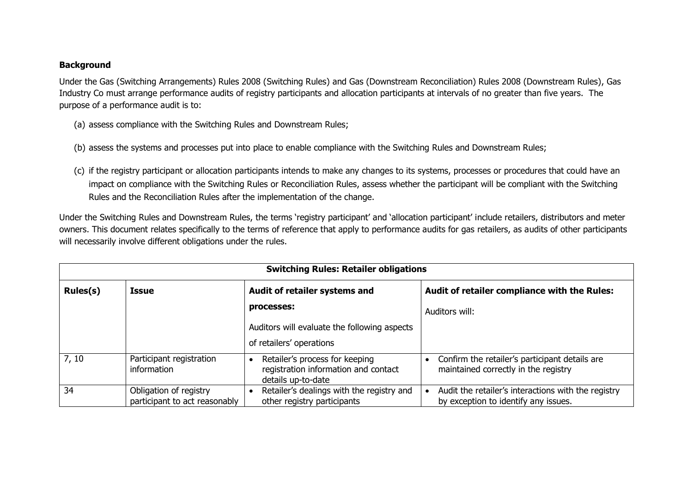## **Background**

Under the Gas (Switching Arrangements) Rules 2008 (Switching Rules) and Gas (Downstream Reconciliation) Rules 2008 (Downstream Rules), Gas Industry Co must arrange performance audits of registry participants and allocation participants at intervals of no greater than five years. The purpose of a performance audit is to:

- (a) assess compliance with the Switching Rules and Downstream Rules;
- (b) assess the systems and processes put into place to enable compliance with the Switching Rules and Downstream Rules;
- (c) if the registry participant or allocation participants intends to make any changes to its systems, processes or procedures that could have an impact on compliance with the Switching Rules or Reconciliation Rules, assess whether the participant will be compliant with the Switching Rules and the Reconciliation Rules after the implementation of the change.

Under the Switching Rules and Downstream Rules, the terms 'registry participant' and 'allocation participant' include retailers, distributors and meter owners. This document relates specifically to the terms of reference that apply to performance audits for gas retailers, as audits of other participants will necessarily involve different obligations under the rules.

|          | <b>Switching Rules: Retailer obligations</b>            |                                                                                              |                                                                                             |  |  |
|----------|---------------------------------------------------------|----------------------------------------------------------------------------------------------|---------------------------------------------------------------------------------------------|--|--|
| Rules(s) | <b>Issue</b>                                            | Audit of retailer systems and                                                                | Audit of retailer compliance with the Rules:                                                |  |  |
|          |                                                         | processes:                                                                                   | Auditors will:                                                                              |  |  |
|          |                                                         | Auditors will evaluate the following aspects                                                 |                                                                                             |  |  |
|          |                                                         | of retailers' operations                                                                     |                                                                                             |  |  |
| 7, 10    | Participant registration<br>information                 | Retailer's process for keeping<br>registration information and contact<br>details up-to-date | Confirm the retailer's participant details are<br>maintained correctly in the registry      |  |  |
| 34       | Obligation of registry<br>participant to act reasonably | Retailer's dealings with the registry and<br>other registry participants                     | Audit the retailer's interactions with the registry<br>by exception to identify any issues. |  |  |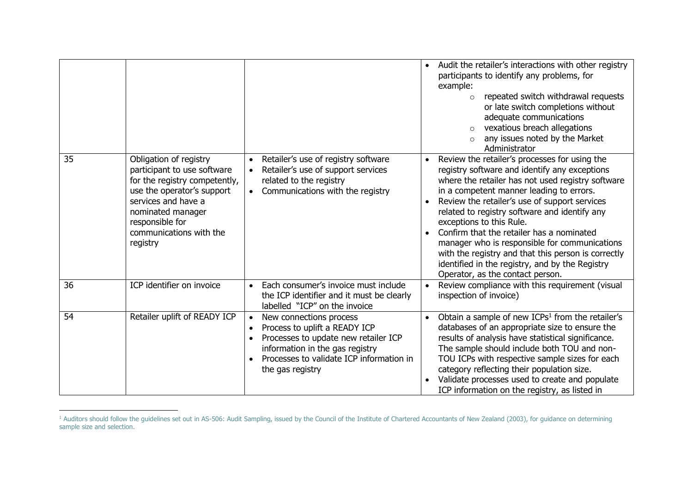|    |                                                                                                                                                                                                                            |                                                                                                                                                                                                                  | Audit the retailer's interactions with other registry<br>participants to identify any problems, for<br>example:<br>repeated switch withdrawal requests<br>$\circ$<br>or late switch completions without<br>adequate communications<br>vexatious breach allegations<br>$\circ$<br>any issues noted by the Market<br>$\circ$<br>Administrator                                                                                                                                                                                                                                            |
|----|----------------------------------------------------------------------------------------------------------------------------------------------------------------------------------------------------------------------------|------------------------------------------------------------------------------------------------------------------------------------------------------------------------------------------------------------------|----------------------------------------------------------------------------------------------------------------------------------------------------------------------------------------------------------------------------------------------------------------------------------------------------------------------------------------------------------------------------------------------------------------------------------------------------------------------------------------------------------------------------------------------------------------------------------------|
| 35 | Obligation of registry<br>participant to use software<br>for the registry competently,<br>use the operator's support<br>services and have a<br>nominated manager<br>responsible for<br>communications with the<br>registry | Retailer's use of registry software<br>$\bullet$<br>Retailer's use of support services<br>related to the registry<br>Communications with the registry<br>$\bullet$                                               | Review the retailer's processes for using the<br>$\bullet$<br>registry software and identify any exceptions<br>where the retailer has not used registry software<br>in a competent manner leading to errors.<br>Review the retailer's use of support services<br>related to registry software and identify any<br>exceptions to this Rule.<br>Confirm that the retailer has a nominated<br>manager who is responsible for communications<br>with the registry and that this person is correctly<br>identified in the registry, and by the Registry<br>Operator, as the contact person. |
| 36 | ICP identifier on invoice                                                                                                                                                                                                  | Each consumer's invoice must include<br>$\bullet$<br>the ICP identifier and it must be clearly<br>labelled "ICP" on the invoice                                                                                  | Review compliance with this requirement (visual<br>$\bullet$<br>inspection of invoice)                                                                                                                                                                                                                                                                                                                                                                                                                                                                                                 |
| 54 | Retailer uplift of READY ICP                                                                                                                                                                                               | New connections process<br>Process to uplift a READY ICP<br>$\bullet$<br>Processes to update new retailer ICP<br>information in the gas registry<br>Processes to validate ICP information in<br>the gas registry | Obtain a sample of new ICPs <sup>1</sup> from the retailer's<br>databases of an appropriate size to ensure the<br>results of analysis have statistical significance.<br>The sample should include both TOU and non-<br>TOU ICPs with respective sample sizes for each<br>category reflecting their population size.<br>Validate processes used to create and populate<br>ICP information on the registry, as listed in                                                                                                                                                                 |

<sup>&</sup>lt;sup>1</sup> Auditors should follow the guidelines set out in AS-506: Audit Sampling, issued by the Council of the Institute of Chartered Accountants of New Zealand (2003), for guidance on determining sample size and selection.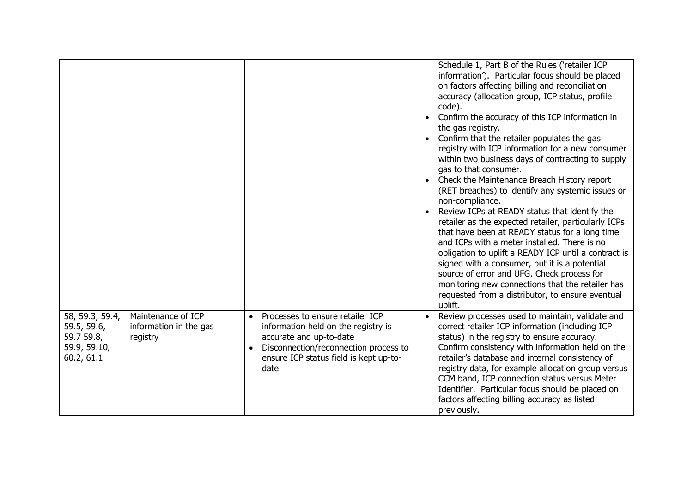|                                                                            |                                                          |                                                                                                                                                                                               | Schedule 1, Part B of the Rules ('retailer ICP<br>information'). Particular focus should be placed<br>on factors affecting billing and reconciliation<br>accuracy (allocation group, ICP status, profile<br>code).<br>• Confirm the accuracy of this ICP information in<br>the gas registry.<br>Confirm that the retailer populates the gas<br>registry with ICP information for a new consumer<br>within two business days of contracting to supply<br>gas to that consumer.<br>• Check the Maintenance Breach History report<br>(RET breaches) to identify any systemic issues or<br>non-compliance.<br>Review ICPs at READY status that identify the<br>retailer as the expected retailer, particularly ICPs<br>that have been at READY status for a long time<br>and ICPs with a meter installed. There is no<br>obligation to uplift a READY ICP until a contract is<br>signed with a consumer, but it is a potential<br>source of error and UFG. Check process for<br>monitoring new connections that the retailer has<br>requested from a distributor, to ensure eventual<br>uplift. |
|----------------------------------------------------------------------------|----------------------------------------------------------|-----------------------------------------------------------------------------------------------------------------------------------------------------------------------------------------------|---------------------------------------------------------------------------------------------------------------------------------------------------------------------------------------------------------------------------------------------------------------------------------------------------------------------------------------------------------------------------------------------------------------------------------------------------------------------------------------------------------------------------------------------------------------------------------------------------------------------------------------------------------------------------------------------------------------------------------------------------------------------------------------------------------------------------------------------------------------------------------------------------------------------------------------------------------------------------------------------------------------------------------------------------------------------------------------------|
| 58, 59.3, 59.4,<br>59.5, 59.6,<br>59.7 59.8,<br>59.9, 59.10,<br>60.2, 61.1 | Maintenance of ICP<br>information in the gas<br>registry | Processes to ensure retailer ICP<br>information held on the registry is<br>accurate and up-to-date<br>Disconnection/reconnection process to<br>ensure ICP status field is kept up-to-<br>date | Review processes used to maintain, validate and<br>correct retailer ICP information (including ICP<br>status) in the registry to ensure accuracy.<br>Confirm consistency with information held on the<br>retailer's database and internal consistency of<br>registry data, for example allocation group versus<br>CCM band, ICP connection status versus Meter<br>Identifier. Particular focus should be placed on<br>factors affecting billing accuracy as listed<br>previously.                                                                                                                                                                                                                                                                                                                                                                                                                                                                                                                                                                                                           |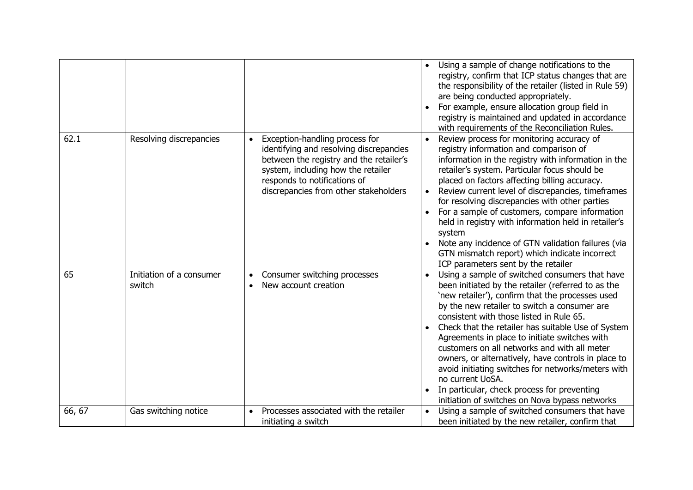|        |                                    |                                                                                                                                                                                                                                     | Using a sample of change notifications to the<br>registry, confirm that ICP status changes that are<br>the responsibility of the retailer (listed in Rule 59)<br>are being conducted appropriately.<br>For example, ensure allocation group field in<br>registry is maintained and updated in accordance<br>with requirements of the Reconciliation Rules.                                                                                                                                                                                                                                                                                    |
|--------|------------------------------------|-------------------------------------------------------------------------------------------------------------------------------------------------------------------------------------------------------------------------------------|-----------------------------------------------------------------------------------------------------------------------------------------------------------------------------------------------------------------------------------------------------------------------------------------------------------------------------------------------------------------------------------------------------------------------------------------------------------------------------------------------------------------------------------------------------------------------------------------------------------------------------------------------|
| 62.1   | Resolving discrepancies            | Exception-handling process for<br>identifying and resolving discrepancies<br>between the registry and the retailer's<br>system, including how the retailer<br>responds to notifications of<br>discrepancies from other stakeholders | Review process for monitoring accuracy of<br>registry information and comparison of<br>information in the registry with information in the<br>retailer's system. Particular focus should be<br>placed on factors affecting billing accuracy.<br>Review current level of discrepancies, timeframes<br>for resolving discrepancies with other parties<br>For a sample of customers, compare information<br>held in registry with information held in retailer's<br>system<br>Note any incidence of GTN validation failures (via<br>GTN mismatch report) which indicate incorrect<br>ICP parameters sent by the retailer                         |
| 65     | Initiation of a consumer<br>switch | Consumer switching processes<br>New account creation                                                                                                                                                                                | Using a sample of switched consumers that have<br>been initiated by the retailer (referred to as the<br>'new retailer'), confirm that the processes used<br>by the new retailer to switch a consumer are<br>consistent with those listed in Rule 65.<br>Check that the retailer has suitable Use of System<br>Agreements in place to initiate switches with<br>customers on all networks and with all meter<br>owners, or alternatively, have controls in place to<br>avoid initiating switches for networks/meters with<br>no current UoSA.<br>In particular, check process for preventing<br>initiation of switches on Nova bypass networks |
| 66, 67 | Gas switching notice               | Processes associated with the retailer<br>initiating a switch                                                                                                                                                                       | Using a sample of switched consumers that have<br>been initiated by the new retailer, confirm that                                                                                                                                                                                                                                                                                                                                                                                                                                                                                                                                            |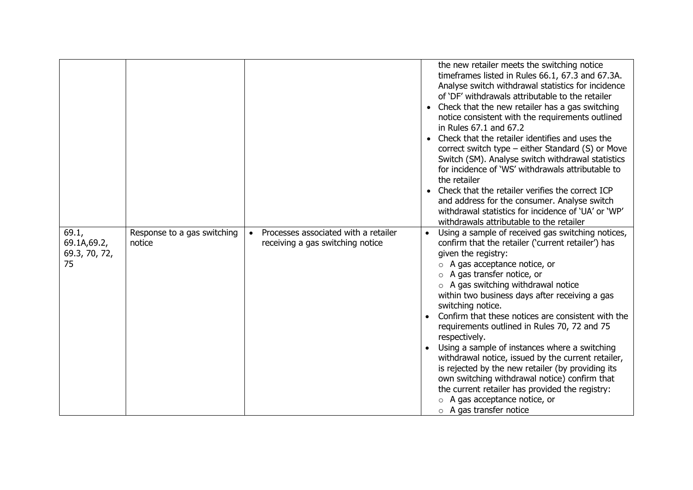|                                              |                                       |                                                                                       | the new retailer meets the switching notice<br>timeframes listed in Rules 66.1, 67.3 and 67.3A.<br>Analyse switch withdrawal statistics for incidence<br>of 'DF' withdrawals attributable to the retailer<br>• Check that the new retailer has a gas switching<br>notice consistent with the requirements outlined<br>in Rules 67.1 and 67.2<br>• Check that the retailer identifies and uses the<br>correct switch type – either Standard (S) or Move<br>Switch (SM). Analyse switch withdrawal statistics<br>for incidence of 'WS' withdrawals attributable to<br>the retailer<br>• Check that the retailer verifies the correct ICP<br>and address for the consumer. Analyse switch<br>withdrawal statistics for incidence of 'UA' or 'WP'<br>withdrawals attributable to the retailer     |
|----------------------------------------------|---------------------------------------|---------------------------------------------------------------------------------------|-----------------------------------------------------------------------------------------------------------------------------------------------------------------------------------------------------------------------------------------------------------------------------------------------------------------------------------------------------------------------------------------------------------------------------------------------------------------------------------------------------------------------------------------------------------------------------------------------------------------------------------------------------------------------------------------------------------------------------------------------------------------------------------------------|
| 69.1,<br>69.1A, 69.2,<br>69.3, 70, 72,<br>75 | Response to a gas switching<br>notice | Processes associated with a retailer<br>$\bullet$<br>receiving a gas switching notice | Using a sample of received gas switching notices,<br>confirm that the retailer ('current retailer') has<br>given the registry:<br>$\circ$ A gas acceptance notice, or<br>$\circ$ A gas transfer notice, or<br>$\circ$ A gas switching withdrawal notice<br>within two business days after receiving a gas<br>switching notice.<br>Confirm that these notices are consistent with the<br>requirements outlined in Rules 70, 72 and 75<br>respectively.<br>Using a sample of instances where a switching<br>withdrawal notice, issued by the current retailer,<br>is rejected by the new retailer (by providing its<br>own switching withdrawal notice) confirm that<br>the current retailer has provided the registry:<br>$\circ$ A gas acceptance notice, or<br>$\circ$ A gas transfer notice |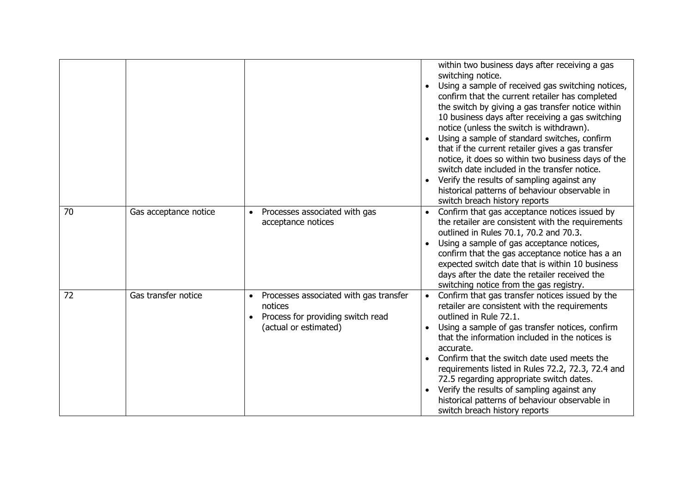|    |                       |                                                                                                                              | within two business days after receiving a gas<br>switching notice.<br>Using a sample of received gas switching notices,<br>confirm that the current retailer has completed<br>the switch by giving a gas transfer notice within<br>10 business days after receiving a gas switching<br>notice (unless the switch is withdrawn).<br>Using a sample of standard switches, confirm<br>that if the current retailer gives a gas transfer<br>notice, it does so within two business days of the<br>switch date included in the transfer notice.<br>Verify the results of sampling against any<br>historical patterns of behaviour observable in<br>switch breach history reports |  |
|----|-----------------------|------------------------------------------------------------------------------------------------------------------------------|------------------------------------------------------------------------------------------------------------------------------------------------------------------------------------------------------------------------------------------------------------------------------------------------------------------------------------------------------------------------------------------------------------------------------------------------------------------------------------------------------------------------------------------------------------------------------------------------------------------------------------------------------------------------------|--|
| 70 | Gas acceptance notice | Processes associated with gas<br>$\bullet$<br>acceptance notices                                                             | Confirm that gas acceptance notices issued by<br>$\bullet$<br>the retailer are consistent with the requirements<br>outlined in Rules 70.1, 70.2 and 70.3.<br>Using a sample of gas acceptance notices,<br>confirm that the gas acceptance notice has a an<br>expected switch date that is within 10 business<br>days after the date the retailer received the<br>switching notice from the gas registry.                                                                                                                                                                                                                                                                     |  |
| 72 | Gas transfer notice   | Processes associated with gas transfer<br>$\bullet$<br>notices<br>Process for providing switch read<br>(actual or estimated) | Confirm that gas transfer notices issued by the<br>$\bullet$<br>retailer are consistent with the requirements<br>outlined in Rule 72.1.<br>Using a sample of gas transfer notices, confirm<br>that the information included in the notices is<br>accurate.<br>Confirm that the switch date used meets the<br>requirements listed in Rules 72.2, 72.3, 72.4 and<br>72.5 regarding appropriate switch dates.<br>Verify the results of sampling against any<br>historical patterns of behaviour observable in<br>switch breach history reports                                                                                                                                  |  |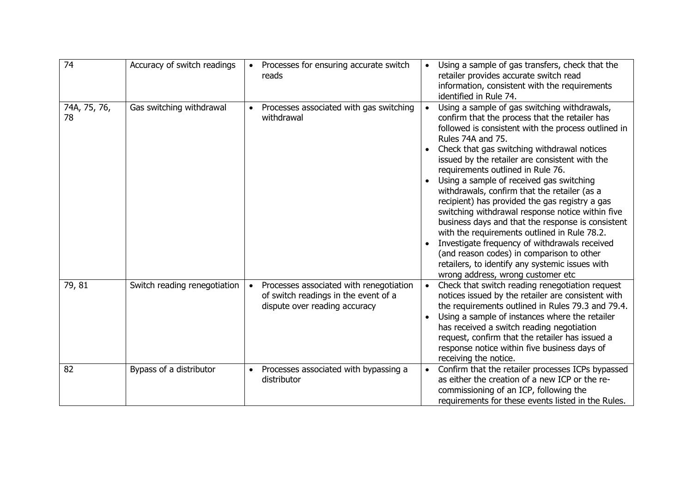| 74                 | Accuracy of switch readings  | Processes for ensuring accurate switch<br>reads                                                                  | Using a sample of gas transfers, check that the<br>$\bullet$<br>retailer provides accurate switch read<br>information, consistent with the requirements<br>identified in Rule 74.                                                                                                                                                                                                                                                                                                                                                                                                                                                                                                                                                                                                                                          |
|--------------------|------------------------------|------------------------------------------------------------------------------------------------------------------|----------------------------------------------------------------------------------------------------------------------------------------------------------------------------------------------------------------------------------------------------------------------------------------------------------------------------------------------------------------------------------------------------------------------------------------------------------------------------------------------------------------------------------------------------------------------------------------------------------------------------------------------------------------------------------------------------------------------------------------------------------------------------------------------------------------------------|
| 74A, 75, 76,<br>78 | Gas switching withdrawal     | Processes associated with gas switching<br>withdrawal                                                            | Using a sample of gas switching withdrawals,<br>$\bullet$<br>confirm that the process that the retailer has<br>followed is consistent with the process outlined in<br>Rules 74A and 75.<br>Check that gas switching withdrawal notices<br>issued by the retailer are consistent with the<br>requirements outlined in Rule 76.<br>Using a sample of received gas switching<br>withdrawals, confirm that the retailer (as a<br>recipient) has provided the gas registry a gas<br>switching withdrawal response notice within five<br>business days and that the response is consistent<br>with the requirements outlined in Rule 78.2.<br>Investigate frequency of withdrawals received<br>(and reason codes) in comparison to other<br>retailers, to identify any systemic issues with<br>wrong address, wrong customer etc |
| 79, 81             | Switch reading renegotiation | Processes associated with renegotiation<br>of switch readings in the event of a<br>dispute over reading accuracy | Check that switch reading renegotiation request<br>$\bullet$<br>notices issued by the retailer are consistent with<br>the requirements outlined in Rules 79.3 and 79.4.<br>Using a sample of instances where the retailer<br>has received a switch reading negotiation<br>request, confirm that the retailer has issued a<br>response notice within five business days of<br>receiving the notice.                                                                                                                                                                                                                                                                                                                                                                                                                         |
| 82                 | Bypass of a distributor      | Processes associated with bypassing a<br>$\bullet$<br>distributor                                                | Confirm that the retailer processes ICPs bypassed<br>as either the creation of a new ICP or the re-<br>commissioning of an ICP, following the<br>requirements for these events listed in the Rules.                                                                                                                                                                                                                                                                                                                                                                                                                                                                                                                                                                                                                        |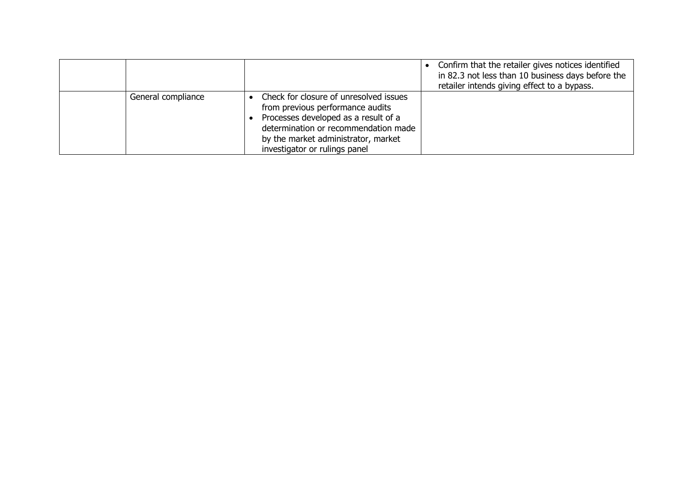|                    |                                                                                                                                                                                                                                    | Confirm that the retailer gives notices identified<br>in 82.3 not less than 10 business days before the<br>retailer intends giving effect to a bypass. |
|--------------------|------------------------------------------------------------------------------------------------------------------------------------------------------------------------------------------------------------------------------------|--------------------------------------------------------------------------------------------------------------------------------------------------------|
| General compliance | Check for closure of unresolved issues<br>from previous performance audits<br>Processes developed as a result of a<br>determination or recommendation made<br>by the market administrator, market<br>investigator or rulings panel |                                                                                                                                                        |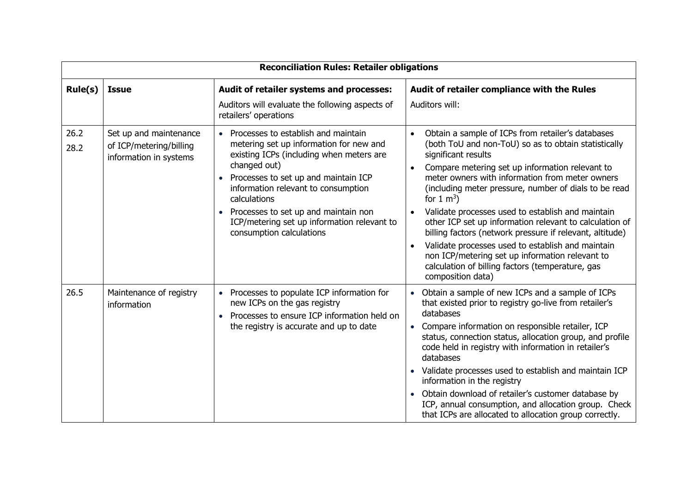|              | <b>Reconciliation Rules: Retailer obligations</b>                           |                                                                                                                                                                                                                                                                                                                                                                                          |                                                                                                                                                                                                                                                                                                                                                                                                                                                                                                                                                                                                                                                                               |  |  |
|--------------|-----------------------------------------------------------------------------|------------------------------------------------------------------------------------------------------------------------------------------------------------------------------------------------------------------------------------------------------------------------------------------------------------------------------------------------------------------------------------------|-------------------------------------------------------------------------------------------------------------------------------------------------------------------------------------------------------------------------------------------------------------------------------------------------------------------------------------------------------------------------------------------------------------------------------------------------------------------------------------------------------------------------------------------------------------------------------------------------------------------------------------------------------------------------------|--|--|
| Rule(s)      | <b>Issue</b>                                                                | Audit of retailer systems and processes:                                                                                                                                                                                                                                                                                                                                                 | Audit of retailer compliance with the Rules                                                                                                                                                                                                                                                                                                                                                                                                                                                                                                                                                                                                                                   |  |  |
|              |                                                                             | Auditors will evaluate the following aspects of<br>retailers' operations                                                                                                                                                                                                                                                                                                                 | Auditors will:                                                                                                                                                                                                                                                                                                                                                                                                                                                                                                                                                                                                                                                                |  |  |
| 26.2<br>28.2 | Set up and maintenance<br>of ICP/metering/billing<br>information in systems | • Processes to establish and maintain<br>metering set up information for new and<br>existing ICPs (including when meters are<br>changed out)<br>Processes to set up and maintain ICP<br>$\bullet$<br>information relevant to consumption<br>calculations<br>Processes to set up and maintain non<br>$\bullet$<br>ICP/metering set up information relevant to<br>consumption calculations | Obtain a sample of ICPs from retailer's databases<br>(both ToU and non-ToU) so as to obtain statistically<br>significant results<br>Compare metering set up information relevant to<br>$\bullet$<br>meter owners with information from meter owners<br>(including meter pressure, number of dials to be read<br>for $1 \text{ m}^3$ )<br>Validate processes used to establish and maintain<br>other ICP set up information relevant to calculation of<br>billing factors (network pressure if relevant, altitude)<br>Validate processes used to establish and maintain<br>non ICP/metering set up information relevant to<br>calculation of billing factors (temperature, gas |  |  |
| 26.5         | Maintenance of registry<br>information                                      | • Processes to populate ICP information for<br>new ICPs on the gas registry<br>Processes to ensure ICP information held on<br>the registry is accurate and up to date                                                                                                                                                                                                                    | composition data)<br>Obtain a sample of new ICPs and a sample of ICPs<br>that existed prior to registry go-live from retailer's<br>databases<br>Compare information on responsible retailer, ICP<br>status, connection status, allocation group, and profile<br>code held in registry with information in retailer's<br>databases<br>Validate processes used to establish and maintain ICP<br>information in the registry<br>Obtain download of retailer's customer database by<br>ICP, annual consumption, and allocation group. Check<br>that ICPs are allocated to allocation group correctly.                                                                             |  |  |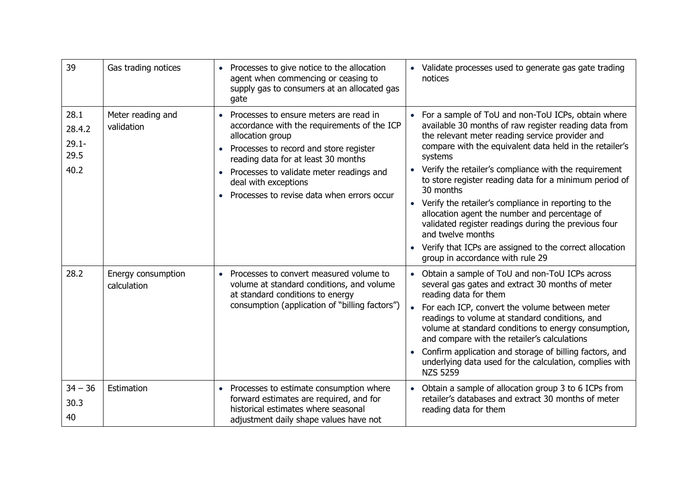| 39                                         | Gas trading notices               | • Processes to give notice to the allocation<br>agent when commencing or ceasing to<br>supply gas to consumers at an allocated gas<br>gate                                                                                                                                                                                      | • Validate processes used to generate gas gate trading<br>notices                                                                                                                                                                                                                                                                                                                                                                                                                                                                                                                                                                                                        |
|--------------------------------------------|-----------------------------------|---------------------------------------------------------------------------------------------------------------------------------------------------------------------------------------------------------------------------------------------------------------------------------------------------------------------------------|--------------------------------------------------------------------------------------------------------------------------------------------------------------------------------------------------------------------------------------------------------------------------------------------------------------------------------------------------------------------------------------------------------------------------------------------------------------------------------------------------------------------------------------------------------------------------------------------------------------------------------------------------------------------------|
| 28.1<br>28.4.2<br>$29.1 -$<br>29.5<br>40.2 | Meter reading and<br>validation   | • Processes to ensure meters are read in<br>accordance with the requirements of the ICP<br>allocation group<br>Processes to record and store register<br>$\bullet$<br>reading data for at least 30 months<br>• Processes to validate meter readings and<br>deal with exceptions<br>• Processes to revise data when errors occur | For a sample of ToU and non-ToU ICPs, obtain where<br>available 30 months of raw register reading data from<br>the relevant meter reading service provider and<br>compare with the equivalent data held in the retailer's<br>systems<br>Verify the retailer's compliance with the requirement<br>$\bullet$<br>to store register reading data for a minimum period of<br>30 months<br>Verify the retailer's compliance in reporting to the<br>allocation agent the number and percentage of<br>validated register readings during the previous four<br>and twelve months<br>• Verify that ICPs are assigned to the correct allocation<br>group in accordance with rule 29 |
| 28.2                                       | Energy consumption<br>calculation | • Processes to convert measured volume to<br>volume at standard conditions, and volume<br>at standard conditions to energy<br>consumption (application of "billing factors")                                                                                                                                                    | Obtain a sample of ToU and non-ToU ICPs across<br>$\bullet$<br>several gas gates and extract 30 months of meter<br>reading data for them<br>For each ICP, convert the volume between meter<br>readings to volume at standard conditions, and<br>volume at standard conditions to energy consumption,<br>and compare with the retailer's calculations<br>Confirm application and storage of billing factors, and<br>$\bullet$<br>underlying data used for the calculation, complies with<br><b>NZS 5259</b>                                                                                                                                                               |
| $34 - 36$<br>30.3<br>40                    | Estimation                        | • Processes to estimate consumption where<br>forward estimates are required, and for<br>historical estimates where seasonal<br>adjustment daily shape values have not                                                                                                                                                           | Obtain a sample of allocation group 3 to 6 ICPs from<br>retailer's databases and extract 30 months of meter<br>reading data for them                                                                                                                                                                                                                                                                                                                                                                                                                                                                                                                                     |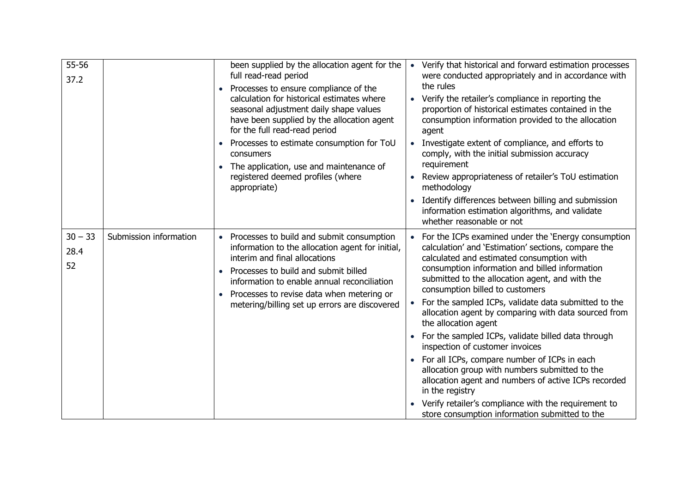| 55-56<br>37.2           |                        | been supplied by the allocation agent for the<br>full read-read period<br>Processes to ensure compliance of the<br>calculation for historical estimates where<br>seasonal adjustment daily shape values<br>have been supplied by the allocation agent<br>for the full read-read period<br>Processes to estimate consumption for ToU<br>consumers<br>The application, use and maintenance of<br>$\bullet$<br>registered deemed profiles (where<br>appropriate) | Verify that historical and forward estimation processes<br>$\bullet$<br>were conducted appropriately and in accordance with<br>the rules<br>Verify the retailer's compliance in reporting the<br>proportion of historical estimates contained in the<br>consumption information provided to the allocation<br>agent<br>Investigate extent of compliance, and efforts to<br>$\bullet$<br>comply, with the initial submission accuracy<br>requirement<br>Review appropriateness of retailer's ToU estimation<br>methodology<br>Identify differences between billing and submission<br>$\bullet$<br>information estimation algorithms, and validate<br>whether reasonable or not                                                                                                                                             |
|-------------------------|------------------------|---------------------------------------------------------------------------------------------------------------------------------------------------------------------------------------------------------------------------------------------------------------------------------------------------------------------------------------------------------------------------------------------------------------------------------------------------------------|---------------------------------------------------------------------------------------------------------------------------------------------------------------------------------------------------------------------------------------------------------------------------------------------------------------------------------------------------------------------------------------------------------------------------------------------------------------------------------------------------------------------------------------------------------------------------------------------------------------------------------------------------------------------------------------------------------------------------------------------------------------------------------------------------------------------------|
| $30 - 33$<br>28.4<br>52 | Submission information | • Processes to build and submit consumption<br>information to the allocation agent for initial,<br>interim and final allocations<br>Processes to build and submit billed<br>information to enable annual reconciliation<br>Processes to revise data when metering or<br>metering/billing set up errors are discovered                                                                                                                                         | For the ICPs examined under the 'Energy consumption<br>calculation' and 'Estimation' sections, compare the<br>calculated and estimated consumption with<br>consumption information and billed information<br>submitted to the allocation agent, and with the<br>consumption billed to customers<br>For the sampled ICPs, validate data submitted to the<br>allocation agent by comparing with data sourced from<br>the allocation agent<br>For the sampled ICPs, validate billed data through<br>inspection of customer invoices<br>• For all ICPs, compare number of ICPs in each<br>allocation group with numbers submitted to the<br>allocation agent and numbers of active ICPs recorded<br>in the registry<br>Verify retailer's compliance with the requirement to<br>store consumption information submitted to the |